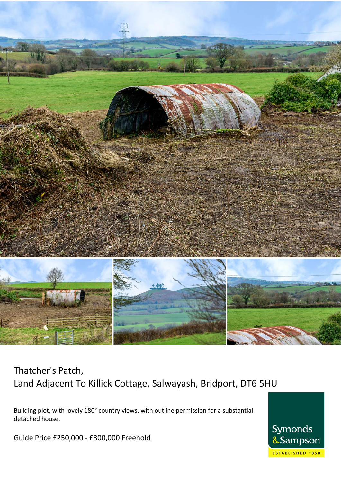

# Thatcher's Patch, Land Adjacent To Killick Cottage, Salwayash, Bridport, DT6 5HU

Building plot, with lovely 180° country views, with outline permission for a substantial detached house.

Guide Price £250,000 - £300,000 Freehold